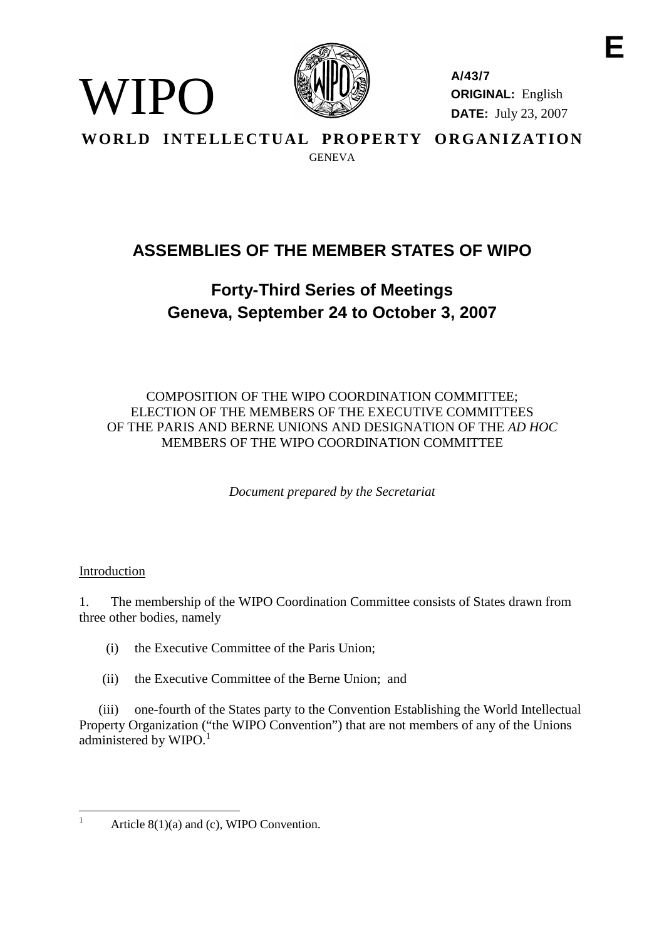

**A/43/7 ORIGINAL:** English **DATE:** July 23, 2007

WORLD INTELLECTUAL PROPERTY ORGANIZATION GENEVA

# **ASSEMBLIES OF THE MEMBER STATES OF WIPO**

## **Forty-Third Series of Meetings Geneva, September 24 to October 3, 2007**

COMPOSITION OF THE WIPO COORDINATION COMMITTEE; ELECTION OF THE MEMBERS OF THE EXECUTIVE COMMITTEES OF THE PARIS AND BERNE UNIONS AND DESIGNATION OF THE *AD HOC* MEMBERS OF THE WIPO COORDINATION COMMITTEE

*Document prepared by the Secretariat*

### Introduction

WIPO

1. The membership of the WIPO Coordination Committee consists of States drawn from three other bodies, namely

- (i) the Executive Committee of the Paris Union;
- (ii) the Executive Committee of the Berne Union; and

(iii) one-fourth of the States party to the Convention Establishing the World Intellectual Property Organization ("the WIPO Convention") that are not members of any of the Unions administered by WIPO.<sup>1</sup>

Article  $8(1)(a)$  and (c), WIPO Convention.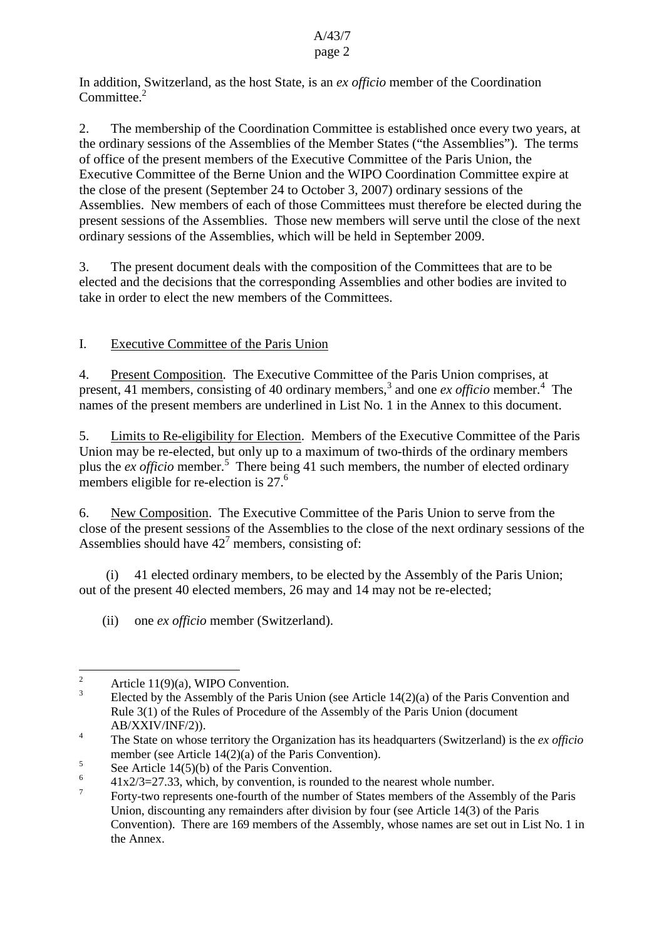#### A/43/7 page 2

#### In addition, Switzerland, as the host State, is an *ex officio* member of the Coordination Committee.<sup>2</sup>

2. The membership of the Coordination Committee is established once every two years, at the ordinary sessions of the Assemblies of the Member States ("the Assemblies"). The terms of office of the present members of the Executive Committee of the Paris Union, the Executive Committee of the Berne Union and the WIPO Coordination Committee expire at the close of the present (September 24 to October 3, 2007) ordinary sessions of the Assemblies. New members of each of those Committees must therefore be elected during the present sessions of the Assemblies. Those new members will serve until the close of the next ordinary sessions of the Assemblies, which will be held in September 2009.

3. The present document deals with the composition of the Committees that are to be elected and the decisions that the corresponding Assemblies and other bodies are invited to take in order to elect the new members of the Committees.

### I. Executive Committee of the Paris Union

4. Present Composition. The Executive Committee of the Paris Union comprises, at present, 41 members, consisting of 40 ordinary members,<sup>3</sup> and one *ex officio* member.<sup>4</sup> The names of the present members are underlined in List No. 1 in the Annex to this document.

5. Limits to Re-eligibility for Election. Members of the Executive Committee of the Paris Union may be re-elected, but only up to a maximum of two-thirds of the ordinary members plus the *ex officio* member.<sup>5</sup> There being 41 such members, the number of elected ordinary members eligible for re-election is 27.<sup>6</sup>

6. New Composition. The Executive Committee of the Paris Union to serve from the close of the present sessions of the Assemblies to the close of the next ordinary sessions of the Assemblies should have  $42<sup>7</sup>$  members, consisting of:

(i) 41 elected ordinary members, to be elected by the Assembly of the Paris Union; out of the present 40 elected members, 26 may and 14 may not be re-elected;

(ii) one *ex officio* member (Switzerland).

 $\frac{2}{3}$  Article 11(9)(a), WIPO Convention.

Elected by the Assembly of the Paris Union (see Article  $14(2)(a)$  of the Paris Convention and Rule 3(1) of the Rules of Procedure of the Assembly of the Paris Union (document AB/XXIV/INF/2)).

<sup>4</sup> The State on whose territory the Organization has its headquarters (Switzerland) is the *ex officio* member (see Article 14(2)(a) of the Paris Convention).

 $5$  See Article 14(5)(b) of the Paris Convention.

 $\frac{6}{7}$  41x2/3=27.33, which, by convention, is rounded to the nearest whole number.

<sup>7</sup> Forty-two represents one-fourth of the number of States members of the Assembly of the Paris Union, discounting any remainders after division by four (see Article 14(3) of the Paris Convention). There are 169 members of the Assembly, whose names are set out in List No. 1 in the Annex.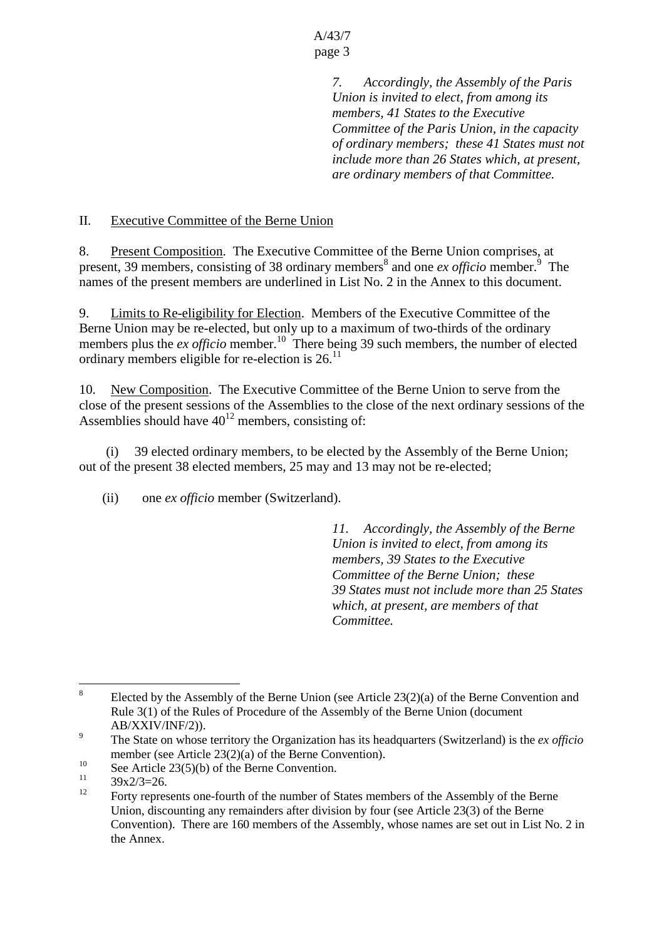A/43/7 page 3

> *7. Accordingly, the Assembly of the Paris Union is invited to elect, from among its members, 41 States to the Executive Committee of the Paris Union, in the capacity of ordinary members; these 41 States must not include more than 26 States which, at present, are ordinary members of that Committee.*

#### II. Executive Committee of the Berne Union

8. Present Composition. The Executive Committee of the Berne Union comprises, at present, 39 members, consisting of 38 ordinary members<sup>8</sup> and one *ex officio* member.<sup>9</sup> The names of the present members are underlined in List No. 2 in the Annex to this document.

9. Limits to Re-eligibility for Election. Members of the Executive Committee of the Berne Union may be re-elected, but only up to a maximum of two-thirds of the ordinary members plus the *ex officio* member.<sup>10</sup> There being 39 such members, the number of elected ordinary members eligible for re-election is  $26$ .<sup>11</sup>

10. New Composition. The Executive Committee of the Berne Union to serve from the close of the present sessions of the Assemblies to the close of the next ordinary sessions of the Assemblies should have  $40^{12}$  members, consisting of:

(i) 39 elected ordinary members, to be elected by the Assembly of the Berne Union; out of the present 38 elected members, 25 may and 13 may not be re-elected;

(ii) one *ex officio* member (Switzerland).

*11. Accordingly, the Assembly of the Berne Union is invited to elect, from among its members, 39 States to the Executive Committee of the Berne Union; these 39 States must not include more than 25 States which, at present, are members of that Committee.*

<sup>&</sup>lt;sup>8</sup> Elected by the Assembly of the Berne Union (see Article  $23(2)(a)$  of the Berne Convention and Rule 3(1) of the Rules of Procedure of the Assembly of the Berne Union (document AB/XXIV/INF/2)).

<sup>9</sup> The State on whose territory the Organization has its headquarters (Switzerland) is the *ex officio* member (see Article 23(2)(a) of the Berne Convention).

<sup>&</sup>lt;sup>10</sup> See Article 23(5)(b) of the Berne Convention.

 $\frac{11}{12}$  39x2/3=26.

<sup>12</sup> Forty represents one-fourth of the number of States members of the Assembly of the Berne Union, discounting any remainders after division by four (see Article 23(3) of the Berne Convention). There are 160 members of the Assembly, whose names are set out in List No. 2 in the Annex.